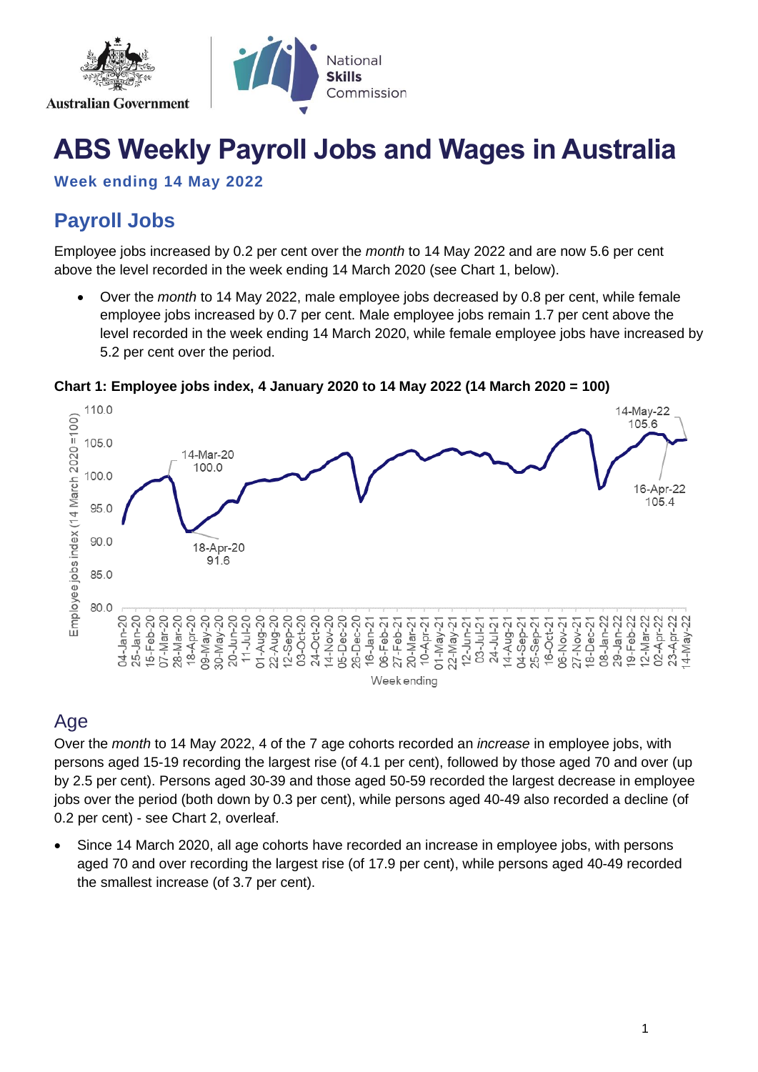

# **ABS Weekly Payroll Jobs and Wages in Australia**

**Week ending 14 May 2022**

# **Payroll Jobs**

Employee jobs increased by 0.2 per cent over the *month* to 14 May 2022 and are now 5.6 per cent above the level recorded in the week ending 14 March 2020 (see Chart 1, below).

• Over the *month* to 14 May 2022, male employee jobs decreased by 0.8 per cent, while female employee jobs increased by 0.7 per cent. Male employee jobs remain 1.7 per cent above the level recorded in the week ending 14 March 2020, while female employee jobs have increased by 5.2 per cent over the period.



#### **Chart 1: Employee jobs index, 4 January 2020 to 14 May 2022 (14 March 2020 = 100)**

### Age

Over the *month* to 14 May 2022, 4 of the 7 age cohorts recorded an *increase* in employee jobs, with persons aged 15-19 recording the largest rise (of 4.1 per cent), followed by those aged 70 and over (up by 2.5 per cent). Persons aged 30-39 and those aged 50-59 recorded the largest decrease in employee jobs over the period (both down by 0.3 per cent), while persons aged 40-49 also recorded a decline (of 0.2 per cent) - see Chart 2, overleaf.

• Since 14 March 2020, all age cohorts have recorded an increase in employee jobs, with persons aged 70 and over recording the largest rise (of 17.9 per cent), while persons aged 40-49 recorded the smallest increase (of 3.7 per cent).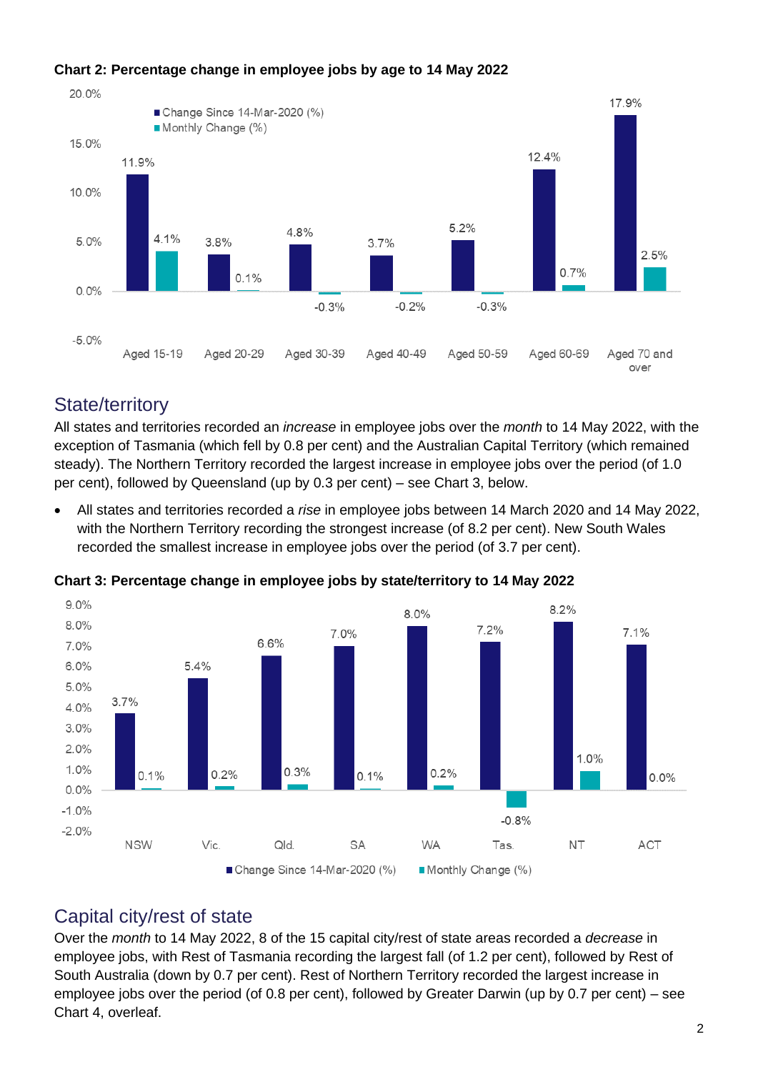

#### **Chart 2: Percentage change in employee jobs by age to 14 May 2022**

### State/territory

All states and territories recorded an *increase* in employee jobs over the *month* to 14 May 2022, with the exception of Tasmania (which fell by 0.8 per cent) and the Australian Capital Territory (which remained steady). The Northern Territory recorded the largest increase in employee jobs over the period (of 1.0 per cent), followed by Queensland (up by 0.3 per cent) – see Chart 3, below.

• All states and territories recorded a *rise* in employee jobs between 14 March 2020 and 14 May 2022, with the Northern Territory recording the strongest increase (of 8.2 per cent). New South Wales recorded the smallest increase in employee jobs over the period (of 3.7 per cent).



**Chart 3: Percentage change in employee jobs by state/territory to 14 May 2022**

### Capital city/rest of state

Over the *month* to 14 May 2022, 8 of the 15 capital city/rest of state areas recorded a *decrease* in employee jobs, with Rest of Tasmania recording the largest fall (of 1.2 per cent), followed by Rest of South Australia (down by 0.7 per cent). Rest of Northern Territory recorded the largest increase in employee jobs over the period (of 0.8 per cent), followed by Greater Darwin (up by 0.7 per cent) – see Chart 4, overleaf.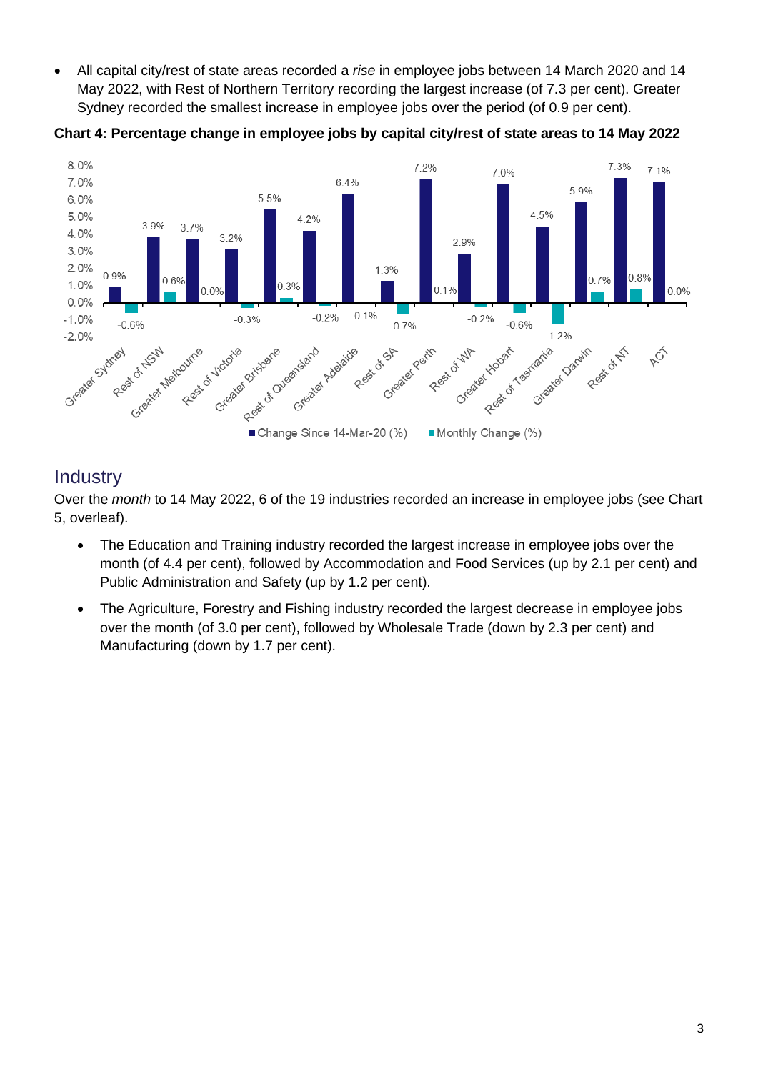• All capital city/rest of state areas recorded a *rise* in employee jobs between 14 March 2020 and 14 May 2022, with Rest of Northern Territory recording the largest increase (of 7.3 per cent). Greater Sydney recorded the smallest increase in employee jobs over the period (of 0.9 per cent).



**Chart 4: Percentage change in employee jobs by capital city/rest of state areas to 14 May 2022**

### **Industry**

Over the *month* to 14 May 2022, 6 of the 19 industries recorded an increase in employee jobs (see Chart 5, overleaf).

- The Education and Training industry recorded the largest increase in employee jobs over the month (of 4.4 per cent), followed by Accommodation and Food Services (up by 2.1 per cent) and Public Administration and Safety (up by 1.2 per cent).
- The Agriculture, Forestry and Fishing industry recorded the largest decrease in employee jobs over the month (of 3.0 per cent), followed by Wholesale Trade (down by 2.3 per cent) and Manufacturing (down by 1.7 per cent).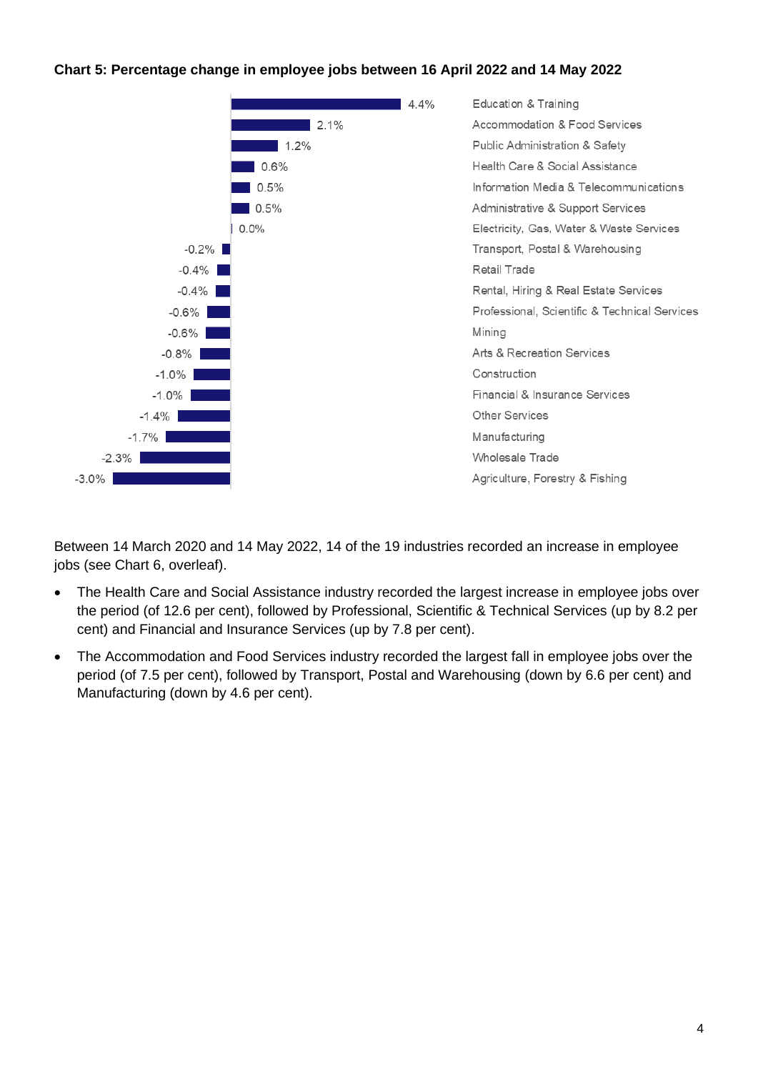#### **Chart 5: Percentage change in employee jobs between 16 April 2022 and 14 May 2022**



Between 14 March 2020 and 14 May 2022, 14 of the 19 industries recorded an increase in employee jobs (see Chart 6, overleaf).

- The Health Care and Social Assistance industry recorded the largest increase in employee jobs over the period (of 12.6 per cent), followed by Professional, Scientific & Technical Services (up by 8.2 per cent) and Financial and Insurance Services (up by 7.8 per cent).
- The Accommodation and Food Services industry recorded the largest fall in employee jobs over the period (of 7.5 per cent), followed by Transport, Postal and Warehousing (down by 6.6 per cent) and Manufacturing (down by 4.6 per cent).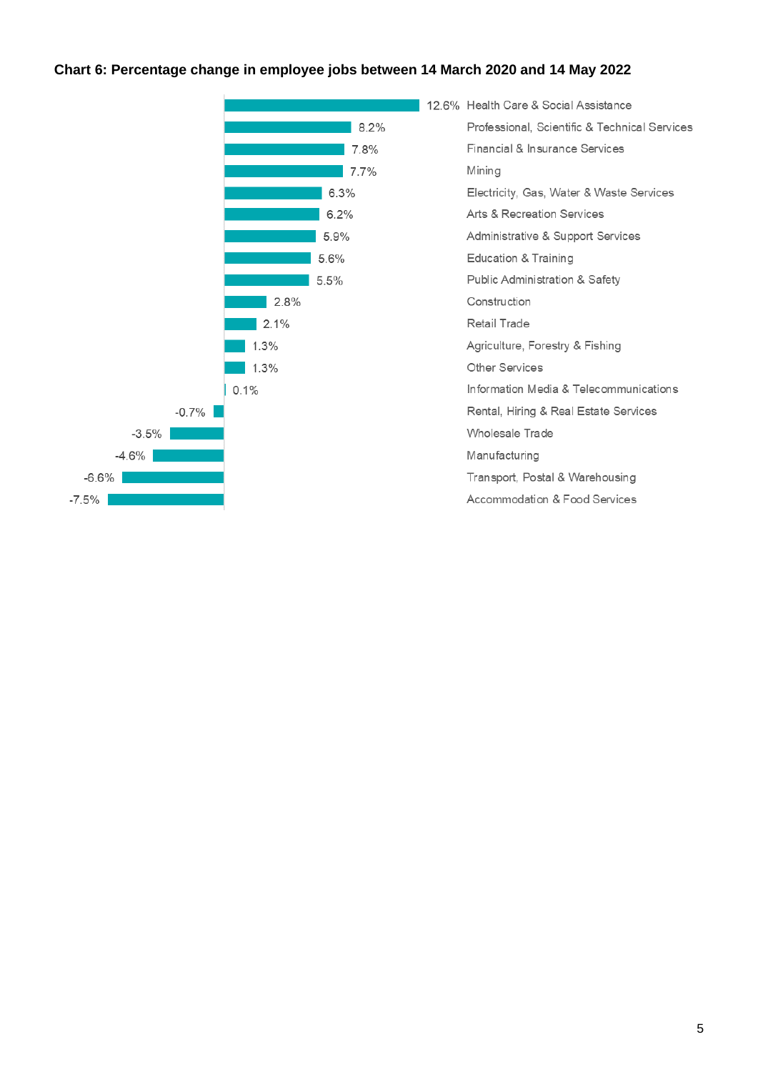#### **Chart 6: Percentage change in employee jobs between 14 March 2020 and 14 May 2022**

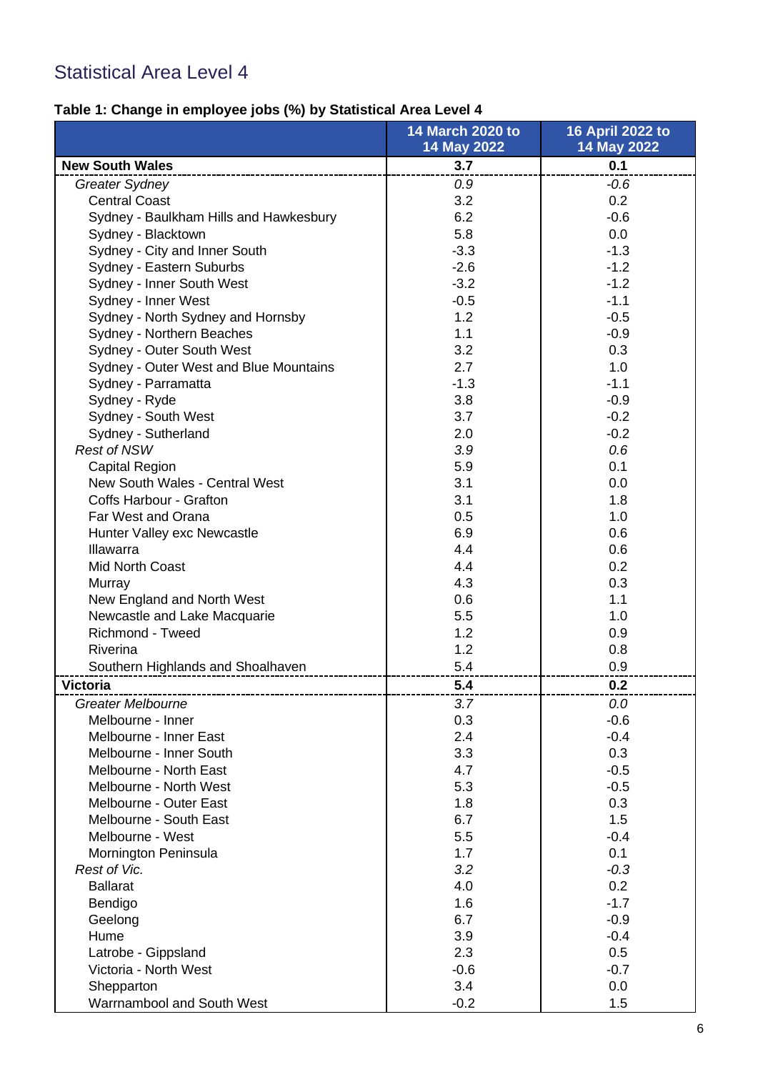# Statistical Area Level 4

# **Table 1: Change in employee jobs (%) by Statistical Area Level 4**

|                                        | <b>14 March 2020 to</b> | 16 April 2022 to |
|----------------------------------------|-------------------------|------------------|
|                                        | 14 May 2022             | 14 May 2022      |
| <b>New South Wales</b>                 | 3.7                     | 0.1              |
| <b>Greater Sydney</b>                  | 0.9                     | $-0.6$           |
| <b>Central Coast</b>                   | 3.2                     | 0.2              |
| Sydney - Baulkham Hills and Hawkesbury | 6.2                     | $-0.6$           |
| Sydney - Blacktown                     | 5.8                     | 0.0              |
| Sydney - City and Inner South          | $-3.3$                  | $-1.3$           |
| Sydney - Eastern Suburbs               | $-2.6$                  | $-1.2$           |
| Sydney - Inner South West              | $-3.2$                  | $-1.2$           |
| Sydney - Inner West                    | $-0.5$                  | $-1.1$           |
| Sydney - North Sydney and Hornsby      | 1.2                     | $-0.5$           |
| Sydney - Northern Beaches              | 1.1                     | $-0.9$           |
| Sydney - Outer South West              | 3.2                     | 0.3              |
| Sydney - Outer West and Blue Mountains | 2.7                     | 1.0              |
| Sydney - Parramatta                    | $-1.3$                  | $-1.1$           |
| Sydney - Ryde                          | 3.8                     | $-0.9$           |
| Sydney - South West                    | 3.7                     | $-0.2$           |
| Sydney - Sutherland                    | 2.0                     | $-0.2$           |
| <b>Rest of NSW</b>                     | 3.9                     | 0.6              |
| Capital Region                         | 5.9                     | 0.1              |
| New South Wales - Central West         | 3.1                     | 0.0              |
| Coffs Harbour - Grafton                | 3.1                     | 1.8              |
| Far West and Orana                     | 0.5                     | 1.0              |
| Hunter Valley exc Newcastle            | 6.9                     | 0.6              |
| <b>Illawarra</b>                       | 4.4                     | 0.6              |
| <b>Mid North Coast</b>                 | 4.4                     | 0.2              |
| Murray                                 | 4.3                     | 0.3              |
| New England and North West             | 0.6                     | 1.1              |
| Newcastle and Lake Macquarie           | 5.5                     | 1.0              |
| Richmond - Tweed                       | 1.2                     | 0.9              |
| Riverina                               | 1.2                     | 0.8              |
| Southern Highlands and Shoalhaven      | 5.4                     | 0.9              |
| <b>Victoria</b>                        | 5.4                     | 0.2              |
| <b>Greater Melbourne</b>               | 3.7                     | 0.0              |
| Melbourne - Inner                      | 0.3                     | $-0.6$           |
| Melbourne - Inner East                 | 2.4                     | $-0.4$           |
| Melbourne - Inner South                | 3.3                     | 0.3              |
| Melbourne - North East                 | 4.7                     | $-0.5$           |
| Melbourne - North West                 | 5.3                     | $-0.5$           |
| Melbourne - Outer East                 | 1.8                     | 0.3              |
| Melbourne - South East                 | 6.7                     | 1.5              |
| Melbourne - West                       | 5.5                     | $-0.4$           |
| Mornington Peninsula                   | 1.7                     | 0.1              |
| Rest of Vic.                           | 3.2                     | $-0.3$           |
| <b>Ballarat</b>                        | 4.0                     | 0.2              |
| Bendigo                                | 1.6                     | $-1.7$           |
| Geelong                                | 6.7                     | $-0.9$           |
| Hume                                   | 3.9                     | $-0.4$           |
| Latrobe - Gippsland                    | 2.3                     | 0.5              |
| Victoria - North West                  | $-0.6$                  | $-0.7$           |
| Shepparton                             | 3.4                     | 0.0              |
| Warrnambool and South West             | $-0.2$                  | 1.5              |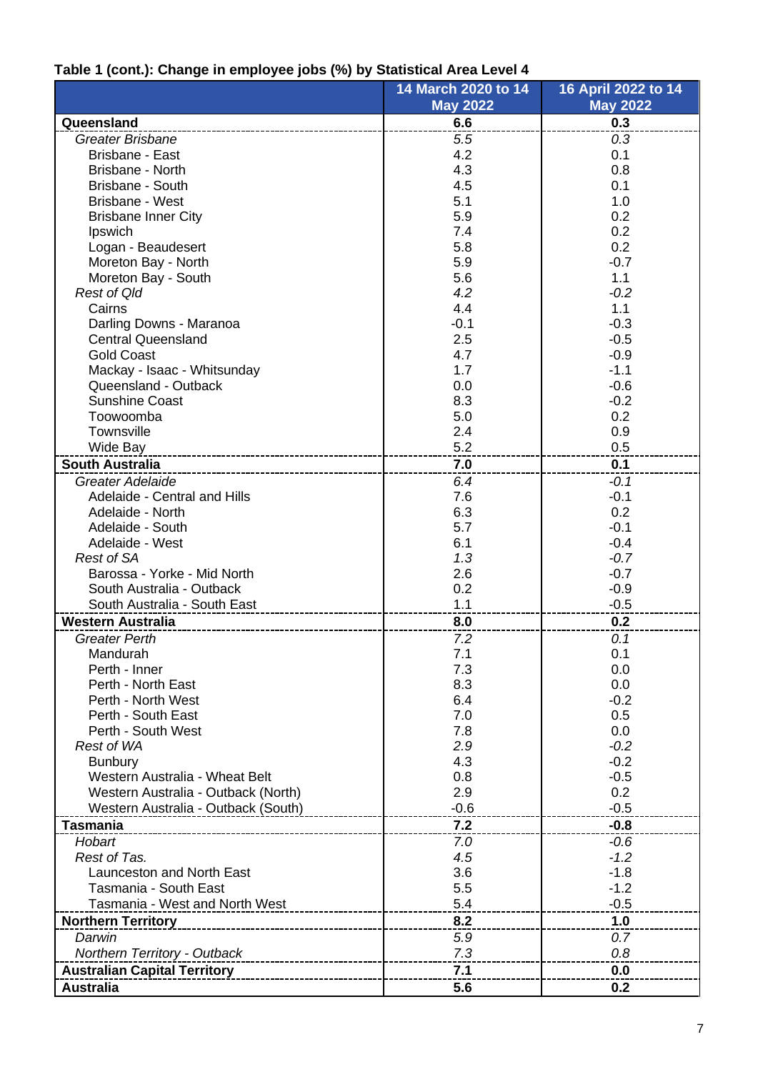# **Table 1 (cont.): Change in employee jobs (%) by Statistical Area Level 4**

|                                        | 14 March 2020 to 14 | 16 April 2022 to 14 |
|----------------------------------------|---------------------|---------------------|
|                                        | <b>May 2022</b>     | <b>May 2022</b>     |
| Queensland                             | 6.6                 | 0.3                 |
| <b>Greater Brisbane</b>                | 5.5                 | 0.3                 |
| Brisbane - East                        | 4.2                 | 0.1                 |
| Brisbane - North                       | 4.3                 | 0.8                 |
| Brisbane - South                       | 4.5                 | 0.1                 |
| Brisbane - West                        | 5.1                 | 1.0                 |
| <b>Brisbane Inner City</b>             | 5.9                 | 0.2                 |
| Ipswich                                | 7.4                 | 0.2                 |
| Logan - Beaudesert                     | 5.8                 | 0.2                 |
| Moreton Bay - North                    | 5.9                 | $-0.7$              |
| Moreton Bay - South                    | 5.6                 | 1.1                 |
| <b>Rest of Qld</b>                     | 4.2                 | $-0.2$              |
| Cairns                                 | 4.4                 | 1.1                 |
| Darling Downs - Maranoa                | $-0.1$              | $-0.3$              |
| <b>Central Queensland</b>              | 2.5                 | $-0.5$              |
| <b>Gold Coast</b>                      | 4.7                 | $-0.9$              |
| Mackay - Isaac - Whitsunday            | 1.7                 | $-1.1$              |
| Queensland - Outback                   | 0.0                 | $-0.6$              |
| <b>Sunshine Coast</b>                  | 8.3                 | $-0.2$              |
| Toowoomba                              | 5.0                 | 0.2                 |
| Townsville                             | 2.4                 | 0.9                 |
| Wide Bay<br>-------------------------- | 5.2                 | 0.5                 |
| <b>South Australia</b>                 | 7.0                 | 0.1                 |
| Greater Adelaide                       | 6.4                 | $-0.1$              |
| Adelaide - Central and Hills           | 7.6                 | $-0.1$              |
| Adelaide - North                       | 6.3                 | 0.2                 |
| Adelaide - South                       | 5.7                 | $-0.1$              |
| Adelaide - West                        | 6.1                 | $-0.4$              |
| <b>Rest of SA</b>                      | 1.3                 | $-0.7$              |
| Barossa - Yorke - Mid North            | 2.6                 | $-0.7$              |
| South Australia - Outback              | 0.2                 | $-0.9$              |
| South Australia - South East           | 1.1                 | $-0.5$              |
| <b>Western Australia</b>               | 8.0                 | 0.2                 |
| <b>Greater Perth</b>                   | 7.2                 | 0.1                 |
| Mandurah                               | 7.1                 | 0.1                 |
| Perth - Inner                          | 7.3                 | 0.0                 |
| Perth - North East                     | 8.3                 | 0.0                 |
| Perth - North West                     | 6.4                 | $-0.2$              |
| Perth - South East                     | 7.0                 | 0.5                 |
| Perth - South West                     | 7.8                 | 0.0                 |
| <b>Rest of WA</b>                      | 2.9                 | $-0.2$              |
| <b>Bunbury</b>                         | 4.3                 | $-0.2$              |
| Western Australia - Wheat Belt         | 0.8                 | $-0.5$              |
| Western Australia - Outback (North)    | 2.9                 | 0.2                 |
| Western Australia - Outback (South)    | $-0.6$              | $-0.5$              |
| <b>Tasmania</b>                        | 7.2                 | $-0.8$              |
| Hobart                                 | 7.0                 | $-0.6$              |
| Rest of Tas.                           | 4.5                 | $-1.2$              |
| <b>Launceston and North East</b>       | 3.6                 | $-1.8$              |
| Tasmania - South East                  | 5.5                 | $-1.2$              |
| Tasmania - West and North West         | 5.4                 | $-0.5$              |
| <b>Northern Territory</b>              | 8.2                 | 1.0                 |
| Darwin                                 |                     | 0.7                 |
|                                        | 5.9<br>7.3          | 0.8                 |
| Northern Territory - Outback           |                     |                     |
| <b>Australian Capital Territory</b>    | 7.1                 | 0.0                 |
| <b>Australia</b>                       | 5.6                 | 0.2                 |